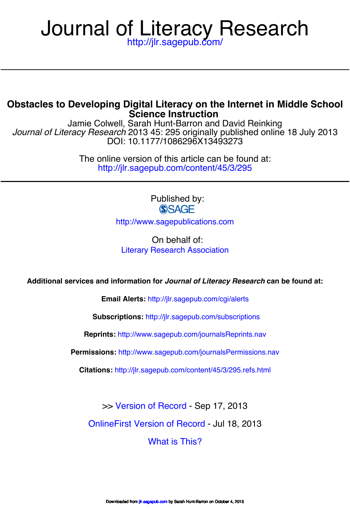# http://jlr.sagepub.com Journal of Literacy Research

### **Science Instruction Obstacles to Developing Digital Literacy on the Internet in Middle School**

DOI: 10.1177/1086296X13493273 *Journal of Literacy Research* 2013 45: 295 originally published online 18 July 2013 Jamie Colwell, Sarah Hunt-Barron and David Reinking

> <http://jlr.sagepub.com/content/45/3/295> The online version of this article can be found at:

> > Published by:<br>
> > SAGE <http://www.sagepublications.com>

On behalf of: [Literary Research Association](http://www.nrconline.org)

**Additional services and information for** *Journal of Literacy Research* **can be found at:**

**Email Alerts:** <http://jlr.sagepub.com/cgi/alerts>

**Subscriptions:** <http://jlr.sagepub.com/subscriptions>

**Reprints:** <http://www.sagepub.com/journalsReprints.nav>

**Permissions:** <http://www.sagepub.com/journalsPermissions.nav>

**Citations:** <http://jlr.sagepub.com/content/45/3/295.refs.html>

>> [Version of Record -](http://jlr.sagepub.com/content/45/3/295.full.pdf) Sep 17, 2013

[OnlineFirst Version of Record -](http://jlr.sagepub.com/content/early/2013/07/14/1086296X13493273.full.pdf) Jul 18, 2013

[What is This?](http://online.sagepub.com/site/sphelp/vorhelp.xhtml)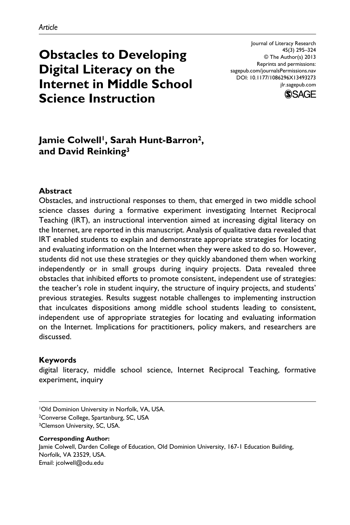# **Obstacles to Developing Digital Literacy on the Internet in Middle School Science Instruction**

Journal of Literacy Research 45(3) 295–324 © The Author(s) 2013 Reprints and permissions: sagepub.com/journalsPermissions.nav DOI: 10.1177/1086296X13493273 jlr.sagepub.com



# Jamie Colwell<sup>1</sup>, Sarah Hunt-Barron<sup>2</sup>, **and David Reinking3**

#### **Abstract**

Obstacles, and instructional responses to them, that emerged in two middle school science classes during a formative experiment investigating Internet Reciprocal Teaching (IRT), an instructional intervention aimed at increasing digital literacy on the Internet, are reported in this manuscript. Analysis of qualitative data revealed that IRT enabled students to explain and demonstrate appropriate strategies for locating and evaluating information on the Internet when they were asked to do so. However, students did not use these strategies or they quickly abandoned them when working independently or in small groups during inquiry projects. Data revealed three obstacles that inhibited efforts to promote consistent, independent use of strategies: the teacher's role in student inquiry, the structure of inquiry projects, and students' previous strategies. Results suggest notable challenges to implementing instruction that inculcates dispositions among middle school students leading to consistent, independent use of appropriate strategies for locating and evaluating information on the Internet. Implications for practitioners, policy makers, and researchers are discussed.

#### **Keywords**

digital literacy, middle school science, Internet Reciprocal Teaching, formative experiment, inquiry

<sup>3</sup>Clemson University, SC, USA.

#### **Corresponding Author:**

Jamie Colwell, Darden College of Education, Old Dominion University, 167-1 Education Building, Norfolk, VA 23529, USA. Email: jcolwell@odu.edu

<sup>1</sup>Old Dominion University in Norfolk, VA, USA. 2Converse College, Spartanburg, SC, USA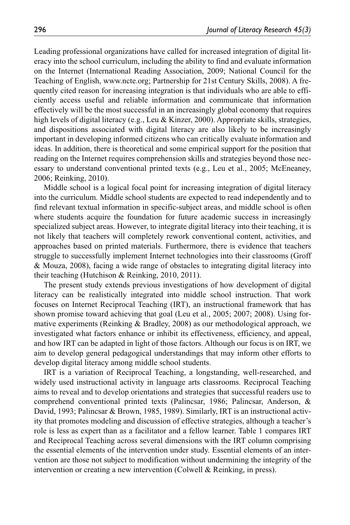Leading professional organizations have called for increased integration of digital literacy into the school curriculum, including the ability to find and evaluate information on the Internet (International Reading Association, 2009; National Council for the Teaching of English, www.ncte.org; Partnership for 21st Century Skills, 2008). A frequently cited reason for increasing integration is that individuals who are able to efficiently access useful and reliable information and communicate that information effectively will be the most successful in an increasingly global economy that requires high levels of digital literacy (e.g., Leu & Kinzer, 2000). Appropriate skills, strategies, and dispositions associated with digital literacy are also likely to be increasingly important in developing informed citizens who can critically evaluate information and ideas. In addition, there is theoretical and some empirical support for the position that reading on the Internet requires comprehension skills and strategies beyond those necessary to understand conventional printed texts (e.g., Leu et al., 2005; McEneaney, 2006; Reinking, 2010).

Middle school is a logical focal point for increasing integration of digital literacy into the curriculum. Middle school students are expected to read independently and to find relevant textual information in specific-subject areas, and middle school is often where students acquire the foundation for future academic success in increasingly specialized subject areas. However, to integrate digital literacy into their teaching, it is not likely that teachers will completely rework conventional content, activities, and approaches based on printed materials. Furthermore, there is evidence that teachers struggle to successfully implement Internet technologies into their classrooms (Groff & Mouza, 2008), facing a wide range of obstacles to integrating digital literacy into their teaching (Hutchison & Reinking, 2010, 2011).

The present study extends previous investigations of how development of digital literacy can be realistically integrated into middle school instruction. That work focuses on Internet Reciprocal Teaching (IRT), an instructional framework that has shown promise toward achieving that goal (Leu et al., 2005; 2007; 2008). Using formative experiments (Reinking & Bradley, 2008) as our methodological approach, we investigated what factors enhance or inhibit its effectiveness, efficiency, and appeal, and how IRT can be adapted in light of those factors. Although our focus is on IRT, we aim to develop general pedagogical understandings that may inform other efforts to develop digital literacy among middle school students.

IRT is a variation of Reciprocal Teaching, a longstanding, well-researched, and widely used instructional activity in language arts classrooms. Reciprocal Teaching aims to reveal and to develop orientations and strategies that successful readers use to comprehend conventional printed texts (Palincsar, 1986; Palincsar, Anderson, & David, 1993; Palincsar & Brown, 1985, 1989). Similarly, IRT is an instructional activity that promotes modeling and discussion of effective strategies, although a teacher's role is less as expert than as a facilitator and a fellow learner. Table 1 compares IRT and Reciprocal Teaching across several dimensions with the IRT column comprising the essential elements of the intervention under study. Essential elements of an intervention are those not subject to modification without undermining the integrity of the intervention or creating a new intervention (Colwell & Reinking, in press).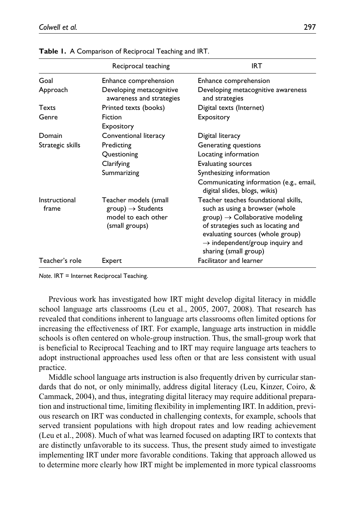|                        | Reciprocal teaching                                                                            | <b>IRT</b>                                                                                                                                                                                                                                                              |
|------------------------|------------------------------------------------------------------------------------------------|-------------------------------------------------------------------------------------------------------------------------------------------------------------------------------------------------------------------------------------------------------------------------|
| Goal                   | Enhance comprehension                                                                          | Enhance comprehension                                                                                                                                                                                                                                                   |
| Approach               | Developing metacognitive<br>awareness and strategies                                           | Developing metacognitive awareness<br>and strategies                                                                                                                                                                                                                    |
| Texts                  | Printed texts (books)                                                                          | Digital texts (Internet)                                                                                                                                                                                                                                                |
| Genre                  | Fiction                                                                                        | Expository                                                                                                                                                                                                                                                              |
|                        | Expository                                                                                     |                                                                                                                                                                                                                                                                         |
| Domain                 | Conventional literacy                                                                          | Digital literacy                                                                                                                                                                                                                                                        |
| Strategic skills       | Predicting                                                                                     | Generating questions                                                                                                                                                                                                                                                    |
|                        | Questioning                                                                                    | Locating information                                                                                                                                                                                                                                                    |
|                        | Clarifying                                                                                     | <b>Evaluating sources</b>                                                                                                                                                                                                                                               |
|                        | Summarizing                                                                                    | Synthesizing information                                                                                                                                                                                                                                                |
|                        |                                                                                                | Communicating information (e.g., email,<br>digital slides, blogs, wikis)                                                                                                                                                                                                |
| Instructional<br>frame | Teacher models (small<br>$group) \rightarrow Studies$<br>model to each other<br>(small groups) | Teacher teaches foundational skills.<br>such as using a browser (whole<br>$group) \rightarrow$ Collaborative modeling<br>of strategies such as locating and<br>evaluating sources (whole group)<br>$\rightarrow$ independent/group inquiry and<br>sharing (small group) |
| Teacher's role         | Expert                                                                                         | Facilitator and learner                                                                                                                                                                                                                                                 |

**Table 1.** A Comparison of Reciprocal Teaching and IRT.

*Note*. IRT = Internet Reciprocal Teaching.

Previous work has investigated how IRT might develop digital literacy in middle school language arts classrooms (Leu et al., 2005, 2007, 2008). That research has revealed that conditions inherent to language arts classrooms often limited options for increasing the effectiveness of IRT. For example, language arts instruction in middle schools is often centered on whole-group instruction. Thus, the small-group work that is beneficial to Reciprocal Teaching and to IRT may require language arts teachers to adopt instructional approaches used less often or that are less consistent with usual practice.

Middle school language arts instruction is also frequently driven by curricular standards that do not, or only minimally, address digital literacy (Leu, Kinzer, Coiro, & Cammack, 2004), and thus, integrating digital literacy may require additional preparation and instructional time, limiting flexibility in implementing IRT. In addition, previous research on IRT was conducted in challenging contexts, for example, schools that served transient populations with high dropout rates and low reading achievement (Leu et al., 2008). Much of what was learned focused on adapting IRT to contexts that are distinctly unfavorable to its success. Thus, the present study aimed to investigate implementing IRT under more favorable conditions. Taking that approach allowed us to determine more clearly how IRT might be implemented in more typical classrooms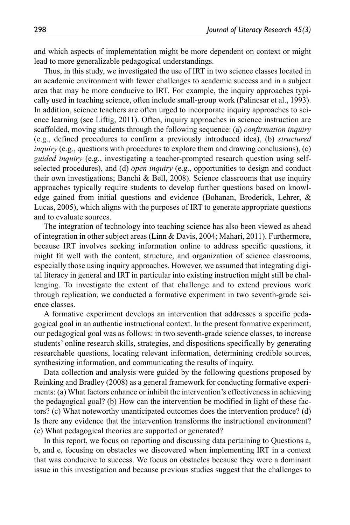and which aspects of implementation might be more dependent on context or might lead to more generalizable pedagogical understandings.

Thus, in this study, we investigated the use of IRT in two science classes located in an academic environment with fewer challenges to academic success and in a subject area that may be more conducive to IRT. For example, the inquiry approaches typically used in teaching science, often include small-group work (Palincsar et al., 1993). In addition, science teachers are often urged to incorporate inquiry approaches to science learning (see Liftig, 2011). Often, inquiry approaches in science instruction are scaffolded, moving students through the following sequence: (a) *confirmation inquiry* (e.g., defined procedures to confirm a previously introduced idea), (b) *structured inquiry* (e.g., questions with procedures to explore them and drawing conclusions), (c) *guided inquiry* (e.g., investigating a teacher-prompted research question using selfselected procedures), and (d) *open inquiry* (e.g., opportunities to design and conduct their own investigations; Banchi & Bell, 2008). Science classrooms that use inquiry approaches typically require students to develop further questions based on knowledge gained from initial questions and evidence (Bohanan, Broderick, Lehrer, & Lucas, 2005), which aligns with the purposes of IRT to generate appropriate questions and to evaluate sources.

The integration of technology into teaching science has also been viewed as ahead of integration in other subject areas (Linn & Davis, 2004; Mahari, 2011). Furthermore, because IRT involves seeking information online to address specific questions, it might fit well with the content, structure, and organization of science classrooms, especially those using inquiry approaches. However, we assumed that integrating digital literacy in general and IRT in particular into existing instruction might still be challenging. To investigate the extent of that challenge and to extend previous work through replication, we conducted a formative experiment in two seventh-grade science classes.

A formative experiment develops an intervention that addresses a specific pedagogical goal in an authentic instructional context. In the present formative experiment, our pedagogical goal was as follows: in two seventh-grade science classes, to increase students' online research skills, strategies, and dispositions specifically by generating researchable questions, locating relevant information, determining credible sources, synthesizing information, and communicating the results of inquiry.

Data collection and analysis were guided by the following questions proposed by Reinking and Bradley (2008) as a general framework for conducting formative experiments: (a) What factors enhance or inhibit the intervention's effectiveness in achieving the pedagogical goal? (b) How can the intervention be modified in light of these factors? (c) What noteworthy unanticipated outcomes does the intervention produce? (d) Is there any evidence that the intervention transforms the instructional environment? (e) What pedagogical theories are supported or generated?

In this report, we focus on reporting and discussing data pertaining to Questions a, b, and e, focusing on obstacles we discovered when implementing IRT in a context that was conducive to success. We focus on obstacles because they were a dominant issue in this investigation and because previous studies suggest that the challenges to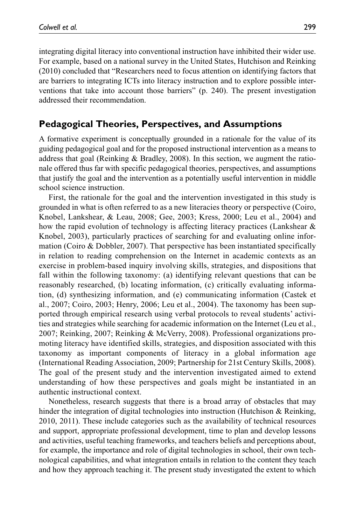integrating digital literacy into conventional instruction have inhibited their wider use. For example, based on a national survey in the United States, Hutchison and Reinking (2010) concluded that "Researchers need to focus attention on identifying factors that are barriers to integrating ICTs into literacy instruction and to explore possible interventions that take into account those barriers" (p. 240). The present investigation addressed their recommendation.

### **Pedagogical Theories, Perspectives, and Assumptions**

A formative experiment is conceptually grounded in a rationale for the value of its guiding pedagogical goal and for the proposed instructional intervention as a means to address that goal (Reinking & Bradley, 2008). In this section, we augment the rationale offered thus far with specific pedagogical theories, perspectives, and assumptions that justify the goal and the intervention as a potentially useful intervention in middle school science instruction.

First, the rationale for the goal and the intervention investigated in this study is grounded in what is often referred to as a new literacies theory or perspective (Coiro, Knobel, Lankshear, & Leau, 2008; Gee, 2003; Kress, 2000; Leu et al., 2004) and how the rapid evolution of technology is affecting literacy practices (Lankshear  $\&$ Knobel, 2003), particularly practices of searching for and evaluating online information (Coiro & Dobbler, 2007). That perspective has been instantiated specifically in relation to reading comprehension on the Internet in academic contexts as an exercise in problem-based inquiry involving skills, strategies, and dispositions that fall within the following taxonomy: (a) identifying relevant questions that can be reasonably researched, (b) locating information, (c) critically evaluating information, (d) synthesizing information, and (e) communicating information (Castek et al., 2007; Coiro, 2003; Henry, 2006; Leu et al., 2004). The taxonomy has been supported through empirical research using verbal protocols to reveal students' activities and strategies while searching for academic information on the Internet (Leu et al., 2007; Reinking, 2007; Reinking & McVerry, 2008). Professional organizations promoting literacy have identified skills, strategies, and disposition associated with this taxonomy as important components of literacy in a global information age (International Reading Association, 2009; Partnership for 21st Century Skills, 2008). The goal of the present study and the intervention investigated aimed to extend understanding of how these perspectives and goals might be instantiated in an authentic instructional context.

Nonetheless, research suggests that there is a broad array of obstacles that may hinder the integration of digital technologies into instruction (Hutchison & Reinking, 2010, 2011). These include categories such as the availability of technical resources and support, appropriate professional development, time to plan and develop lessons and activities, useful teaching frameworks, and teachers beliefs and perceptions about, for example, the importance and role of digital technologies in school, their own technological capabilities, and what integration entails in relation to the content they teach and how they approach teaching it. The present study investigated the extent to which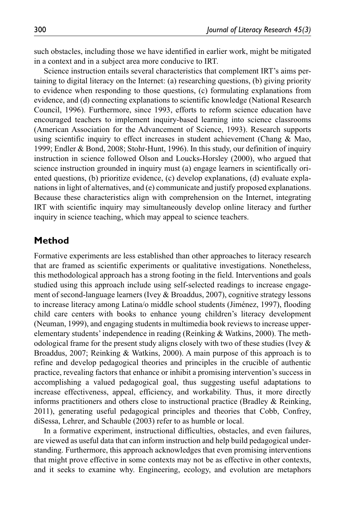such obstacles, including those we have identified in earlier work, might be mitigated in a context and in a subject area more conducive to IRT.

Science instruction entails several characteristics that complement IRT's aims pertaining to digital literacy on the Internet: (a) researching questions, (b) giving priority to evidence when responding to those questions, (c) formulating explanations from evidence, and (d) connecting explanations to scientific knowledge (National Research Council, 1996). Furthermore, since 1993, efforts to reform science education have encouraged teachers to implement inquiry-based learning into science classrooms (American Association for the Advancement of Science, 1993). Research supports using scientific inquiry to effect increases in student achievement (Chang & Mao, 1999; Endler & Bond, 2008; Stohr-Hunt, 1996). In this study, our definition of inquiry instruction in science followed Olson and Loucks-Horsley (2000), who argued that science instruction grounded in inquiry must (a) engage learners in scientifically oriented questions, (b) prioritize evidence, (c) develop explanations, (d) evaluate explanations in light of alternatives, and (e) communicate and justify proposed explanations. Because these characteristics align with comprehension on the Internet, integrating IRT with scientific inquiry may simultaneously develop online literacy and further inquiry in science teaching, which may appeal to science teachers.

#### **Method**

Formative experiments are less established than other approaches to literacy research that are framed as scientific experiments or qualitative investigations. Nonetheless, this methodological approach has a strong footing in the field. Interventions and goals studied using this approach include using self-selected readings to increase engagement of second-language learners (Ivey & Broaddus, 2007), cognitive strategy lessons to increase literacy among Latina/o middle school students (Jiménez, 1997), flooding child care centers with books to enhance young children's literacy development (Neuman, 1999), and engaging students in multimedia book reviews to increase upperelementary students' independence in reading (Reinking & Watkins, 2000). The methodological frame for the present study aligns closely with two of these studies (Ivey  $\&$ Broaddus, 2007; Reinking & Watkins, 2000). A main purpose of this approach is to refine and develop pedagogical theories and principles in the crucible of authentic practice, revealing factors that enhance or inhibit a promising intervention's success in accomplishing a valued pedagogical goal, thus suggesting useful adaptations to increase effectiveness, appeal, efficiency, and workability. Thus, it more directly informs practitioners and others close to instructional practice (Bradley & Reinking, 2011), generating useful pedagogical principles and theories that Cobb, Confrey, diSessa, Lehrer, and Schauble (2003) refer to as humble or local.

In a formative experiment, instructional difficulties, obstacles, and even failures, are viewed as useful data that can inform instruction and help build pedagogical understanding. Furthermore, this approach acknowledges that even promising interventions that might prove effective in some contexts may not be as effective in other contexts, and it seeks to examine why. Engineering, ecology, and evolution are metaphors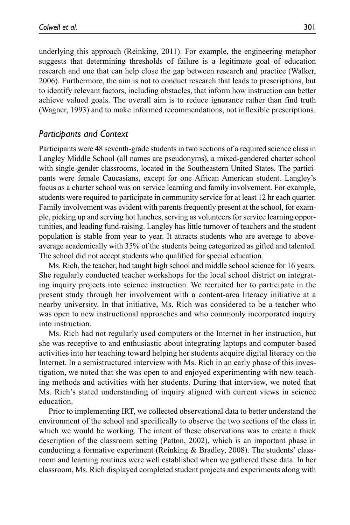underlying this approach (Reinking, 2011). For example, the engineering metaphor suggests that determining thresholds of failure is a legitimate goal of education research and one that can help close the gap between research and practice (Walker, 2006). Furthermore, the aim is not to conduct research that leads to prescriptions, but to identify relevant factors, including obstacles, that inform how instruction can better achieve valued goals. The overall aim is to reduce ignorance rather than find truth (Wagner, 1993) and to make informed recommendations, not inflexible prescriptions.

#### *Participants and Context*

Participants were 48 seventh-grade students in two sections of a required science class in Langley Middle School (all names are pseudonyms), a mixed-gendered charter school with single-gender classrooms, located in the Southeastern United States. The participants were female Caucasians, except for one African American student. Langley's focus as a charter school was on service learning and family involvement. For example, students were required to participate in community service for at least 12 hr each quarter. Family involvement was evident with parents frequently present at the school, for example, picking up and serving hot lunches, serving as volunteers for service learning opportunities, and leading fund-raising. Langley has little turnover of teachers and the student population is stable from year to year. It attracts students who are average to aboveaverage academically with 35% of the students being categorized as gifted and talented. The school did not accept students who qualified for special education.

Ms. Rich, the teacher, had taught high school and middle school science for 16 years. She regularly conducted teacher workshops for the local school district on integrating inquiry projects into science instruction. We recruited her to participate in the present study through her involvement with a content-area literacy initiative at a nearby university. In that initiative, Ms. Rich was considered to be a teacher who was open to new instructional approaches and who commonly incorporated inquiry into instruction.

Ms. Rich had not regularly used computers or the Internet in her instruction, but she was receptive to and enthusiastic about integrating laptops and computer-based activities into her teaching toward helping her students acquire digital literacy on the Internet. In a semistructured interview with Ms. Rich in an early phase of this investigation, we noted that she was open to and enjoyed experimenting with new teaching methods and activities with her students. During that interview, we noted that Ms. Rich's stated understanding of inquiry aligned with current views in science education.

Prior to implementing IRT, we collected observational data to better understand the environment of the school and specifically to observe the two sections of the class in which we would be working. The intent of these observations was to create a thick description of the classroom setting (Patton, 2002), which is an important phase in conducting a formative experiment (Reinking & Bradley, 2008). The students' classroom and learning routines were well established when we gathered these data. In her classroom, Ms. Rich displayed completed student projects and experiments along with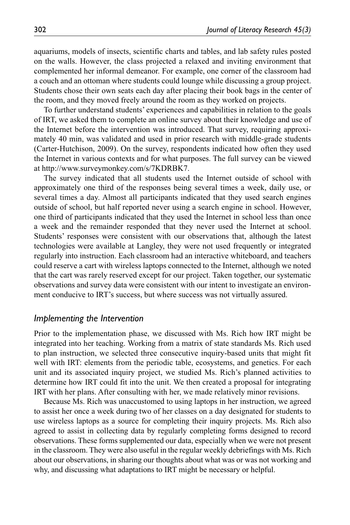aquariums, models of insects, scientific charts and tables, and lab safety rules posted on the walls. However, the class projected a relaxed and inviting environment that complemented her informal demeanor. For example, one corner of the classroom had a couch and an ottoman where students could lounge while discussing a group project. Students chose their own seats each day after placing their book bags in the center of the room, and they moved freely around the room as they worked on projects.

To further understand students' experiences and capabilities in relation to the goals of IRT, we asked them to complete an online survey about their knowledge and use of the Internet before the intervention was introduced. That survey, requiring approximately 40 min, was validated and used in prior research with middle-grade students (Carter-Hutchison, 2009). On the survey, respondents indicated how often they used the Internet in various contexts and for what purposes. The full survey can be viewed at http://www.surveymonkey.com/s/7KDRBK7.

The survey indicated that all students used the Internet outside of school with approximately one third of the responses being several times a week, daily use, or several times a day. Almost all participants indicated that they used search engines outside of school, but half reported never using a search engine in school. However, one third of participants indicated that they used the Internet in school less than once a week and the remainder responded that they never used the Internet at school. Students' responses were consistent with our observations that, although the latest technologies were available at Langley, they were not used frequently or integrated regularly into instruction. Each classroom had an interactive whiteboard, and teachers could reserve a cart with wireless laptops connected to the Internet, although we noted that the cart was rarely reserved except for our project. Taken together, our systematic observations and survey data were consistent with our intent to investigate an environment conducive to IRT's success, but where success was not virtually assured.

#### *Implementing the Intervention*

Prior to the implementation phase, we discussed with Ms. Rich how IRT might be integrated into her teaching. Working from a matrix of state standards Ms. Rich used to plan instruction, we selected three consecutive inquiry-based units that might fit well with IRT: elements from the periodic table, ecosystems, and genetics. For each unit and its associated inquiry project, we studied Ms. Rich's planned activities to determine how IRT could fit into the unit. We then created a proposal for integrating IRT with her plans. After consulting with her, we made relatively minor revisions.

Because Ms. Rich was unaccustomed to using laptops in her instruction, we agreed to assist her once a week during two of her classes on a day designated for students to use wireless laptops as a source for completing their inquiry projects. Ms. Rich also agreed to assist in collecting data by regularly completing forms designed to record observations. These forms supplemented our data, especially when we were not present in the classroom. They were also useful in the regular weekly debriefings with Ms. Rich about our observations, in sharing our thoughts about what was or was not working and why, and discussing what adaptations to IRT might be necessary or helpful.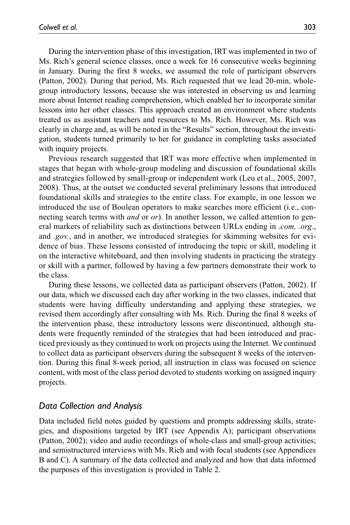During the intervention phase of this investigation, IRT was implemented in two of Ms. Rich's general science classes, once a week for 16 consecutive weeks beginning in January. During the first 8 weeks, we assumed the role of participant observers (Patton, 2002). During that period, Ms. Rich requested that we lead 20-min, wholegroup introductory lessons, because she was interested in observing us and learning more about Internet reading comprehension, which enabled her to incorporate similar lessons into her other classes. This approach created an environment where students treated us as assistant teachers and resources to Ms. Rich. However, Ms. Rich was clearly in charge and, as will be noted in the "Results" section, throughout the investigation, students turned primarily to her for guidance in completing tasks associated with inquiry projects.

Previous research suggested that IRT was more effective when implemented in stages that began with whole-group modeling and discussion of foundational skills and strategies followed by small-group or independent work (Leu et al., 2005, 2007, 2008). Thus, at the outset we conducted several preliminary lessons that introduced foundational skills and strategies to the entire class. For example, in one lesson we introduced the use of Boolean operators to make searches more efficient (i.e., connecting search terms with *and* or *or*). In another lesson, we called attention to general markers of reliability such as distinctions between URLs ending in .*com, .org*., and .*gov.*, and in another, we introduced strategies for skimming websites for evidence of bias. These lessons consisted of introducing the topic or skill, modeling it on the interactive whiteboard, and then involving students in practicing the strategy or skill with a partner, followed by having a few partners demonstrate their work to the class.

During these lessons, we collected data as participant observers (Patton, 2002). If our data, which we discussed each day after working in the two classes, indicated that students were having difficulty understanding and applying these strategies, we revised them accordingly after consulting with Ms. Rich. During the final 8 weeks of the intervention phase, these introductory lessons were discontinued, although students were frequently reminded of the strategies that had been introduced and practiced previously as they continued to work on projects using the Internet. We continued to collect data as participant observers during the subsequent 8 weeks of the intervention. During this final 8-week period, all instruction in class was focused on science content, with most of the class period devoted to students working on assigned inquiry projects.

#### *Data Collection and Analysis*

Data included field notes guided by questions and prompts addressing skills, strategies, and dispositions targeted by IRT (see Appendix A); participant observations (Patton, 2002); video and audio recordings of whole-class and small-group activities; and semistructured interviews with Ms. Rich and with focal students (see Appendices B and C). A summary of the data collected and analyzed and how that data informed the purposes of this investigation is provided in Table 2.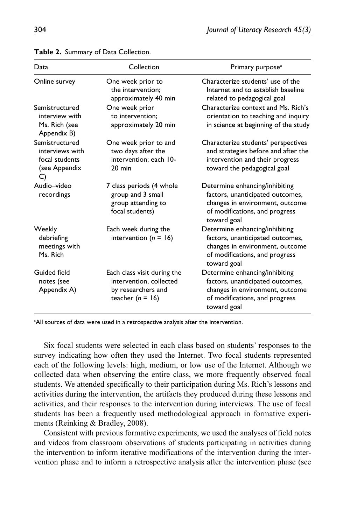| Data                                                                       | Collection                                                                                         | Primary purpose <sup>a</sup>                                                                                                                           |  |
|----------------------------------------------------------------------------|----------------------------------------------------------------------------------------------------|--------------------------------------------------------------------------------------------------------------------------------------------------------|--|
| Online survey                                                              | One week prior to<br>the intervention:<br>approximately 40 min                                     | Characterize students' use of the<br>Internet and to establish baseline<br>related to pedagogical goal                                                 |  |
| Semistructured<br>interview with<br>Ms. Rich (see<br>Appendix B)           | One week prior<br>to intervention:<br>approximately 20 min                                         | Characterize context and Ms. Rich's<br>orientation to teaching and inquiry<br>in science at beginning of the study                                     |  |
| Semistructured<br>interviews with<br>focal students<br>(see Appendix<br>C) | One week prior to and<br>two days after the<br>intervention; each 10-<br>$20 \text{ min}$          | Characterize students' perspectives<br>and strategies before and after the<br>intervention and their progress<br>toward the pedagogical goal           |  |
| Audio-video<br>recordings                                                  | 7 class periods (4 whole<br>group and 3 small<br>group attending to<br>focal students)             | Determine enhancing/inhibiting<br>factors, unanticipated outcomes,<br>changes in environment, outcome<br>of modifications, and progress<br>toward goal |  |
| Weekly<br>debriefing<br>meetings with<br>Ms. Rich                          | Each week during the<br>intervention $(n = 16)$                                                    | Determine enhancing/inhibiting<br>factors, unanticipated outcomes,<br>changes in environment, outcome<br>of modifications, and progress<br>toward goal |  |
| Guided field<br>notes (see<br>Appendix A)                                  | Each class visit during the<br>intervention, collected<br>by researchers and<br>teacher $(n = 16)$ | Determine enhancing/inhibiting<br>factors, unanticipated outcomes,<br>changes in environment, outcome<br>of modifications, and progress<br>toward goal |  |

**Table 2.** Summary of Data Collection.

<sup>a</sup>All sources of data were used in a retrospective analysis after the intervention.

Six focal students were selected in each class based on students' responses to the survey indicating how often they used the Internet. Two focal students represented each of the following levels: high, medium, or low use of the Internet. Although we collected data when observing the entire class, we more frequently observed focal students. We attended specifically to their participation during Ms. Rich's lessons and activities during the intervention, the artifacts they produced during these lessons and activities, and their responses to the intervention during interviews. The use of focal students has been a frequently used methodological approach in formative experiments (Reinking & Bradley, 2008).

Consistent with previous formative experiments, we used the analyses of field notes and videos from classroom observations of students participating in activities during the intervention to inform iterative modifications of the intervention during the intervention phase and to inform a retrospective analysis after the intervention phase (see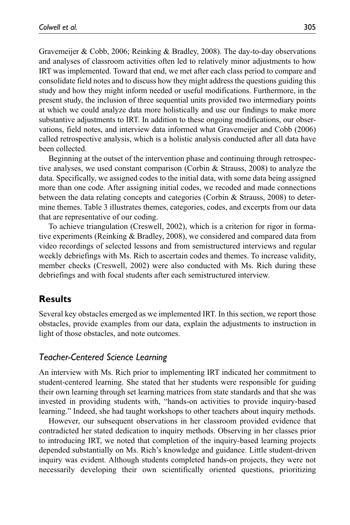Gravemeijer & Cobb, 2006; Reinking & Bradley, 2008). The day-to-day observations and analyses of classroom activities often led to relatively minor adjustments to how IRT was implemented. Toward that end, we met after each class period to compare and consolidate field notes and to discuss how they might address the questions guiding this study and how they might inform needed or useful modifications. Furthermore, in the present study, the inclusion of three sequential units provided two intermediary points at which we could analyze data more holistically and use our findings to make more substantive adjustments to IRT. In addition to these ongoing modifications, our observations, field notes, and interview data informed what Gravemeijer and Cobb (2006) called retrospective analysis, which is a holistic analysis conducted after all data have been collected.

Beginning at the outset of the intervention phase and continuing through retrospective analyses, we used constant comparison (Corbin & Strauss, 2008) to analyze the data. Specifically, we assigned codes to the initial data, with some data being assigned more than one code. After assigning initial codes, we recoded and made connections between the data relating concepts and categories (Corbin & Strauss, 2008) to determine themes. Table 3 illustrates themes, categories, codes, and excerpts from our data that are representative of our coding.

To achieve triangulation (Creswell, 2002), which is a criterion for rigor in formative experiments (Reinking & Bradley, 2008), we considered and compared data from video recordings of selected lessons and from semistructured interviews and regular weekly debriefings with Ms. Rich to ascertain codes and themes. To increase validity, member checks (Creswell, 2002) were also conducted with Ms. Rich during these debriefings and with focal students after each semistructured interview.

#### **Results**

Several key obstacles emerged as we implemented IRT. In this section, we report those obstacles, provide examples from our data, explain the adjustments to instruction in light of those obstacles, and note outcomes.

### *Teacher-Centered Science Learning*

An interview with Ms. Rich prior to implementing IRT indicated her commitment to student-centered learning. She stated that her students were responsible for guiding their own learning through set learning matrices from state standards and that she was invested in providing students with, "hands-on activities to provide inquiry-based learning." Indeed, she had taught workshops to other teachers about inquiry methods.

However, our subsequent observations in her classroom provided evidence that contradicted her stated dedication to inquiry methods. Observing in her classes prior to introducing IRT, we noted that completion of the inquiry-based learning projects depended substantially on Ms. Rich's knowledge and guidance. Little student-driven inquiry was evident. Although students completed hands-on projects, they were not necessarily developing their own scientifically oriented questions, prioritizing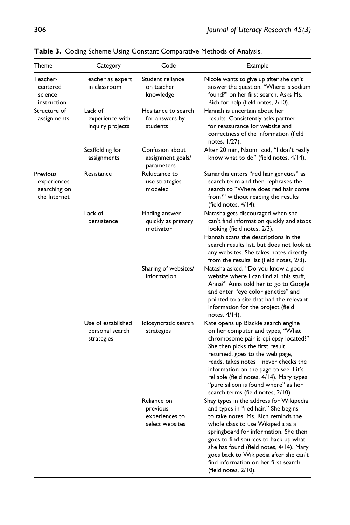| Theme                                                   | Category                                            | Code                                                         | Example                                                                                                                                                                                                                                                                                                                                                                                          |
|---------------------------------------------------------|-----------------------------------------------------|--------------------------------------------------------------|--------------------------------------------------------------------------------------------------------------------------------------------------------------------------------------------------------------------------------------------------------------------------------------------------------------------------------------------------------------------------------------------------|
| Teacher-<br>centered<br>science<br>instruction          | Teacher as expert<br>in classroom                   | Student reliance<br>on teacher<br>knowledge                  | Nicole wants to give up after she can't<br>answer the question, "Where is sodium<br>found?" on her first search. Asks Ms.<br>Rich for help (field notes, 2/10).                                                                                                                                                                                                                                  |
| Structure of<br>assignments                             | Lack of<br>experience with<br>inquiry projects      | Hesitance to search<br>for answers by<br>students            | Hannah is uncertain about her<br>results. Consistently asks partner<br>for reassurance for website and<br>correctness of the information (field<br>notes, 1/27).                                                                                                                                                                                                                                 |
|                                                         | Scaffolding for<br>assignments                      | Confusion about<br>assignment goals/<br>parameters           | After 20 min, Naomi said, "I don't really<br>know what to do" (field notes, 4/14).                                                                                                                                                                                                                                                                                                               |
| Previous<br>experiences<br>searching on<br>the Internet | Resistance                                          | Reluctance to<br>use strategies<br>modeled                   | Samantha enters "red hair genetics" as<br>search term and then rephrases the<br>search to "Where does red hair come<br>from?" without reading the results<br>(field notes, 4/14).                                                                                                                                                                                                                |
|                                                         | Lack of<br>persistence                              | Finding answer<br>quickly as primary<br>motivator            | Natasha gets discouraged when she<br>can't find information quickly and stops<br>looking (field notes, 2/3).                                                                                                                                                                                                                                                                                     |
|                                                         |                                                     |                                                              | Hannah scans the descriptions in the<br>search results list, but does not look at<br>any websites. She takes notes directly<br>from the results list (field notes, 2/3).                                                                                                                                                                                                                         |
|                                                         |                                                     | Sharing of websites/<br>information                          | Natasha asked, "Do you know a good<br>website where I can find all this stuff,<br>Anna?" Anna told her to go to Google<br>and enter "eye color genetics" and<br>pointed to a site that had the relevant<br>information for the project (field<br>notes, 4/14).                                                                                                                                   |
|                                                         | Use of established<br>personal search<br>strategies | Idiosyncratic search<br>strategies                           | Kate opens up Blackle search engine<br>on her computer and types, "What<br>chromosome pair is epilepsy located?"<br>She then picks the first result<br>returned, goes to the web page,<br>reads, takes notes—never checks the<br>information on the page to see if it's<br>reliable (field notes, 4/14). Mary types<br>"pure silicon is found where" as her<br>search terms (field notes, 2/10). |
|                                                         |                                                     | Reliance on<br>previous<br>experiences to<br>select websites | Shay types in the address for Wikipedia<br>and types in "red hair." She begins<br>to take notes. Ms. Rich reminds the<br>whole class to use Wikipedia as a<br>springboard for information. She then<br>goes to find sources to back up what<br>she has found (field notes, 4/14). Mary<br>goes back to Wikipedia after she can't<br>find information on her first search<br>(field notes, 2/10). |

**Table 3.** Coding Scheme Using Constant Comparative Methods of Analysis.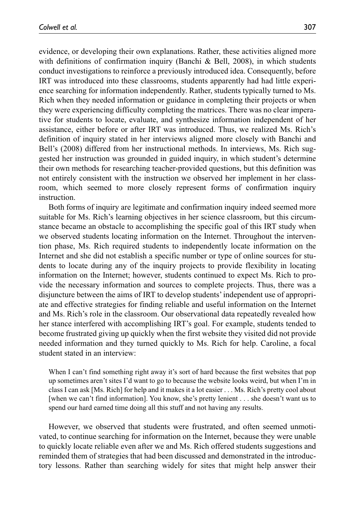evidence, or developing their own explanations. Rather, these activities aligned more with definitions of confirmation inquiry (Banchi & Bell, 2008), in which students conduct investigations to reinforce a previously introduced idea. Consequently, before IRT was introduced into these classrooms, students apparently had had little experience searching for information independently. Rather, students typically turned to Ms. Rich when they needed information or guidance in completing their projects or when they were experiencing difficulty completing the matrices. There was no clear imperative for students to locate, evaluate, and synthesize information independent of her assistance, either before or after IRT was introduced. Thus, we realized Ms. Rich's definition of inquiry stated in her interviews aligned more closely with Banchi and Bell's (2008) differed from her instructional methods. In interviews, Ms. Rich suggested her instruction was grounded in guided inquiry, in which student's determine their own methods for researching teacher-provided questions, but this definition was not entirely consistent with the instruction we observed her implement in her classroom, which seemed to more closely represent forms of confirmation inquiry instruction.

Both forms of inquiry are legitimate and confirmation inquiry indeed seemed more suitable for Ms. Rich's learning objectives in her science classroom, but this circumstance became an obstacle to accomplishing the specific goal of this IRT study when we observed students locating information on the Internet. Throughout the intervention phase, Ms. Rich required students to independently locate information on the Internet and she did not establish a specific number or type of online sources for students to locate during any of the inquiry projects to provide flexibility in locating information on the Internet; however, students continued to expect Ms. Rich to provide the necessary information and sources to complete projects. Thus, there was a disjuncture between the aims of IRT to develop students' independent use of appropriate and effective strategies for finding reliable and useful information on the Internet and Ms. Rich's role in the classroom. Our observational data repeatedly revealed how her stance interfered with accomplishing IRT's goal. For example, students tended to become frustrated giving up quickly when the first website they visited did not provide needed information and they turned quickly to Ms. Rich for help. Caroline, a focal student stated in an interview:

When I can't find something right away it's sort of hard because the first websites that pop up sometimes aren't sites I'd want to go to because the website looks weird, but when I'm in class I can ask [Ms. Rich] for help and it makes it a lot easier . . . Ms. Rich's pretty cool about [when we can't find information]. You know, she's pretty lenient . . . she doesn't want us to spend our hard earned time doing all this stuff and not having any results.

However, we observed that students were frustrated, and often seemed unmotivated, to continue searching for information on the Internet, because they were unable to quickly locate reliable even after we and Ms. Rich offered students suggestions and reminded them of strategies that had been discussed and demonstrated in the introductory lessons. Rather than searching widely for sites that might help answer their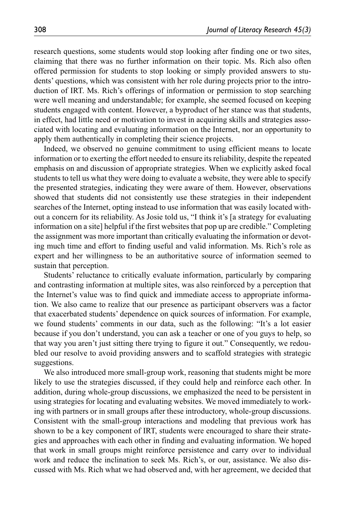research questions, some students would stop looking after finding one or two sites, claiming that there was no further information on their topic. Ms. Rich also often offered permission for students to stop looking or simply provided answers to students' questions, which was consistent with her role during projects prior to the introduction of IRT. Ms. Rich's offerings of information or permission to stop searching were well meaning and understandable; for example, she seemed focused on keeping students engaged with content. However, a byproduct of her stance was that students, in effect, had little need or motivation to invest in acquiring skills and strategies associated with locating and evaluating information on the Internet, nor an opportunity to apply them authentically in completing their science projects.

Indeed, we observed no genuine commitment to using efficient means to locate information or to exerting the effort needed to ensure its reliability, despite the repeated emphasis on and discussion of appropriate strategies. When we explicitly asked focal students to tell us what they were doing to evaluate a website, they were able to specify the presented strategies, indicating they were aware of them. However, observations showed that students did not consistently use these strategies in their independent searches of the Internet, opting instead to use information that was easily located without a concern for its reliability. As Josie told us, "I think it's [a strategy for evaluating information on a site] helpful if the first websites that pop up are credible." Completing the assignment was more important than critically evaluating the information or devoting much time and effort to finding useful and valid information. Ms. Rich's role as expert and her willingness to be an authoritative source of information seemed to sustain that perception.

Students' reluctance to critically evaluate information, particularly by comparing and contrasting information at multiple sites, was also reinforced by a perception that the Internet's value was to find quick and immediate access to appropriate information. We also came to realize that our presence as participant observers was a factor that exacerbated students' dependence on quick sources of information. For example, we found students' comments in our data, such as the following: "It's a lot easier because if you don't understand, you can ask a teacher or one of you guys to help, so that way you aren't just sitting there trying to figure it out." Consequently, we redoubled our resolve to avoid providing answers and to scaffold strategies with strategic suggestions.

We also introduced more small-group work, reasoning that students might be more likely to use the strategies discussed, if they could help and reinforce each other. In addition, during whole-group discussions, we emphasized the need to be persistent in using strategies for locating and evaluating websites. We moved immediately to working with partners or in small groups after these introductory, whole-group discussions. Consistent with the small-group interactions and modeling that previous work has shown to be a key component of IRT, students were encouraged to share their strategies and approaches with each other in finding and evaluating information. We hoped that work in small groups might reinforce persistence and carry over to individual work and reduce the inclination to seek Ms. Rich's, or our, assistance. We also discussed with Ms. Rich what we had observed and, with her agreement, we decided that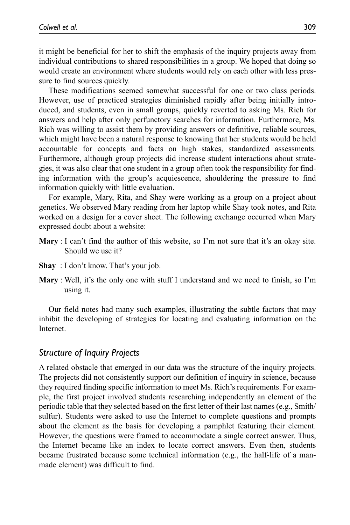it might be beneficial for her to shift the emphasis of the inquiry projects away from individual contributions to shared responsibilities in a group. We hoped that doing so would create an environment where students would rely on each other with less pressure to find sources quickly.

These modifications seemed somewhat successful for one or two class periods. However, use of practiced strategies diminished rapidly after being initially introduced, and students, even in small groups, quickly reverted to asking Ms. Rich for answers and help after only perfunctory searches for information. Furthermore, Ms. Rich was willing to assist them by providing answers or definitive, reliable sources, which might have been a natural response to knowing that her students would be held accountable for concepts and facts on high stakes, standardized assessments. Furthermore, although group projects did increase student interactions about strategies, it was also clear that one student in a group often took the responsibility for finding information with the group's acquiescence, shouldering the pressure to find information quickly with little evaluation.

For example, Mary, Rita, and Shay were working as a group on a project about genetics. We observed Mary reading from her laptop while Shay took notes, and Rita worked on a design for a cover sheet. The following exchange occurred when Mary expressed doubt about a website:

- **Mary** : I can't find the author of this website, so I'm not sure that it's an okay site. Should we use it?
- **Shay** : I don't know. That's your job.
- **Mary** : Well, it's the only one with stuff I understand and we need to finish, so I'm using it.

Our field notes had many such examples, illustrating the subtle factors that may inhibit the developing of strategies for locating and evaluating information on the Internet.

#### *Structure of Inquiry Projects*

A related obstacle that emerged in our data was the structure of the inquiry projects. The projects did not consistently support our definition of inquiry in science, because they required finding specific information to meet Ms. Rich's requirements. For example, the first project involved students researching independently an element of the periodic table that they selected based on the first letter of their last names (e.g., Smith/ sulfur). Students were asked to use the Internet to complete questions and prompts about the element as the basis for developing a pamphlet featuring their element. However, the questions were framed to accommodate a single correct answer. Thus, the Internet became like an index to locate correct answers. Even then, students became frustrated because some technical information (e.g., the half-life of a manmade element) was difficult to find.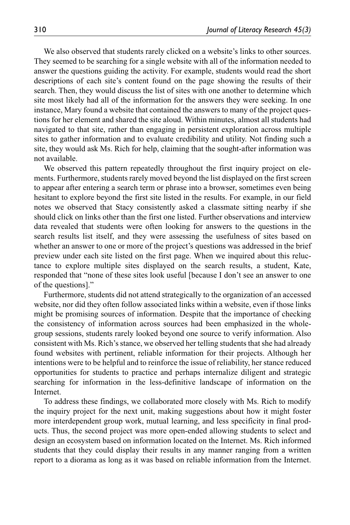We also observed that students rarely clicked on a website's links to other sources. They seemed to be searching for a single website with all of the information needed to answer the questions guiding the activity. For example, students would read the short descriptions of each site's content found on the page showing the results of their search. Then, they would discuss the list of sites with one another to determine which site most likely had all of the information for the answers they were seeking. In one instance, Mary found a website that contained the answers to many of the project questions for her element and shared the site aloud. Within minutes, almost all students had navigated to that site, rather than engaging in persistent exploration across multiple sites to gather information and to evaluate credibility and utility. Not finding such a site, they would ask Ms. Rich for help, claiming that the sought-after information was not available.

We observed this pattern repeatedly throughout the first inquiry project on elements. Furthermore, students rarely moved beyond the list displayed on the first screen to appear after entering a search term or phrase into a browser, sometimes even being hesitant to explore beyond the first site listed in the results. For example, in our field notes we observed that Stacy consistently asked a classmate sitting nearby if she should click on links other than the first one listed. Further observations and interview data revealed that students were often looking for answers to the questions in the search results list itself, and they were assessing the usefulness of sites based on whether an answer to one or more of the project's questions was addressed in the brief preview under each site listed on the first page. When we inquired about this reluctance to explore multiple sites displayed on the search results, a student, Kate, responded that "none of these sites look useful [because I don't see an answer to one of the questions]."

Furthermore, students did not attend strategically to the organization of an accessed website, nor did they often follow associated links within a website, even if those links might be promising sources of information. Despite that the importance of checking the consistency of information across sources had been emphasized in the wholegroup sessions, students rarely looked beyond one source to verify information. Also consistent with Ms. Rich's stance, we observed her telling students that she had already found websites with pertinent, reliable information for their projects. Although her intentions were to be helpful and to reinforce the issue of reliability, her stance reduced opportunities for students to practice and perhaps internalize diligent and strategic searching for information in the less-definitive landscape of information on the Internet.

To address these findings, we collaborated more closely with Ms. Rich to modify the inquiry project for the next unit, making suggestions about how it might foster more interdependent group work, mutual learning, and less specificity in final products. Thus, the second project was more open-ended allowing students to select and design an ecosystem based on information located on the Internet. Ms. Rich informed students that they could display their results in any manner ranging from a written report to a diorama as long as it was based on reliable information from the Internet.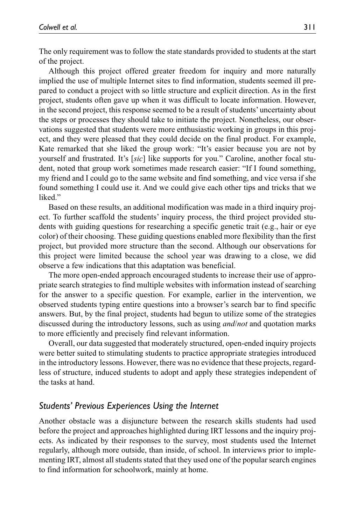The only requirement was to follow the state standards provided to students at the start of the project.

Although this project offered greater freedom for inquiry and more naturally implied the use of multiple Internet sites to find information, students seemed ill prepared to conduct a project with so little structure and explicit direction. As in the first project, students often gave up when it was difficult to locate information. However, in the second project, this response seemed to be a result of students' uncertainty about the steps or processes they should take to initiate the project. Nonetheless, our observations suggested that students were more enthusiastic working in groups in this project, and they were pleased that they could decide on the final product. For example, Kate remarked that she liked the group work: "It's easier because you are not by yourself and frustrated. It's [*sic*] like supports for you." Caroline, another focal student, noted that group work sometimes made research easier: "If I found something, my friend and I could go to the same website and find something, and vice versa if she found something I could use it. And we could give each other tips and tricks that we liked."

Based on these results, an additional modification was made in a third inquiry project. To further scaffold the students' inquiry process, the third project provided students with guiding questions for researching a specific genetic trait (e.g., hair or eye color) of their choosing. These guiding questions enabled more flexibility than the first project, but provided more structure than the second. Although our observations for this project were limited because the school year was drawing to a close, we did observe a few indications that this adaptation was beneficial.

The more open-ended approach encouraged students to increase their use of appropriate search strategies to find multiple websites with information instead of searching for the answer to a specific question. For example, earlier in the intervention, we observed students typing entire questions into a browser's search bar to find specific answers. But, by the final project, students had begun to utilize some of the strategies discussed during the introductory lessons, such as using *and*/*not* and quotation marks to more efficiently and precisely find relevant information.

Overall, our data suggested that moderately structured, open-ended inquiry projects were better suited to stimulating students to practice appropriate strategies introduced in the introductory lessons. However, there was no evidence that these projects, regardless of structure, induced students to adopt and apply these strategies independent of the tasks at hand.

#### *Students' Previous Experiences Using the Internet*

Another obstacle was a disjuncture between the research skills students had used before the project and approaches highlighted during IRT lessons and the inquiry projects. As indicated by their responses to the survey, most students used the Internet regularly, although more outside, than inside, of school. In interviews prior to implementing IRT, almost all students stated that they used one of the popular search engines to find information for schoolwork, mainly at home.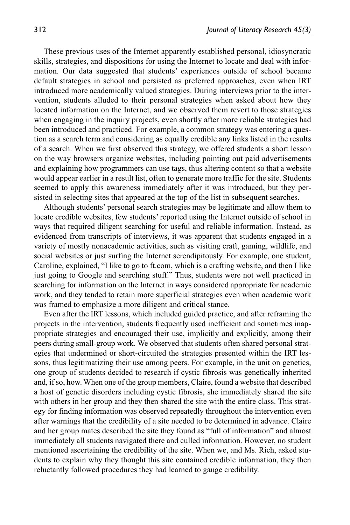These previous uses of the Internet apparently established personal, idiosyncratic skills, strategies, and dispositions for using the Internet to locate and deal with information. Our data suggested that students' experiences outside of school became default strategies in school and persisted as preferred approaches, even when IRT introduced more academically valued strategies. During interviews prior to the intervention, students alluded to their personal strategies when asked about how they located information on the Internet, and we observed them revert to those strategies when engaging in the inquiry projects, even shortly after more reliable strategies had been introduced and practiced. For example, a common strategy was entering a question as a search term and considering as equally credible any links listed in the results of a search. When we first observed this strategy, we offered students a short lesson on the way browsers organize websites, including pointing out paid advertisements and explaining how programmers can use tags, thus altering content so that a website would appear earlier in a result list, often to generate more traffic for the site. Students seemed to apply this awareness immediately after it was introduced, but they persisted in selecting sites that appeared at the top of the list in subsequent searches.

Although students' personal search strategies may be legitimate and allow them to locate credible websites, few students' reported using the Internet outside of school in ways that required diligent searching for useful and reliable information. Instead, as evidenced from transcripts of interviews, it was apparent that students engaged in a variety of mostly nonacademic activities, such as visiting craft, gaming, wildlife, and social websites or just surfing the Internet serendipitously. For example, one student, Caroline, explained, "I like to go to ft.com, which is a crafting website, and then I like just going to Google and searching stuff." Thus, students were not well practiced in searching for information on the Internet in ways considered appropriate for academic work, and they tended to retain more superficial strategies even when academic work was framed to emphasize a more diligent and critical stance.

Even after the IRT lessons, which included guided practice, and after reframing the projects in the intervention, students frequently used inefficient and sometimes inappropriate strategies and encouraged their use, implicitly and explicitly, among their peers during small-group work. We observed that students often shared personal strategies that undermined or short-circuited the strategies presented within the IRT lessons, thus legitimatizing their use among peers. For example, in the unit on genetics, one group of students decided to research if cystic fibrosis was genetically inherited and, if so, how. When one of the group members, Claire, found a website that described a host of genetic disorders including cystic fibrosis, she immediately shared the site with others in her group and they then shared the site with the entire class. This strategy for finding information was observed repeatedly throughout the intervention even after warnings that the credibility of a site needed to be determined in advance. Claire and her group mates described the site they found as "full of information" and almost immediately all students navigated there and culled information. However, no student mentioned ascertaining the credibility of the site. When we, and Ms. Rich, asked students to explain why they thought this site contained credible information, they then reluctantly followed procedures they had learned to gauge credibility.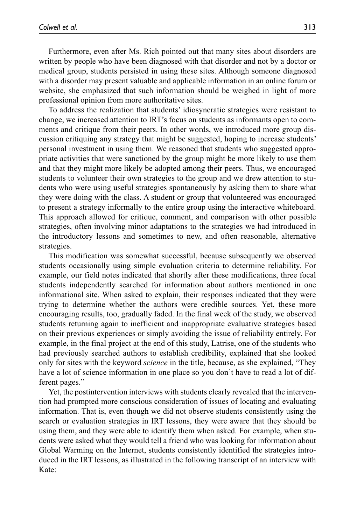Furthermore, even after Ms. Rich pointed out that many sites about disorders are written by people who have been diagnosed with that disorder and not by a doctor or medical group, students persisted in using these sites. Although someone diagnosed with a disorder may present valuable and applicable information in an online forum or website, she emphasized that such information should be weighed in light of more professional opinion from more authoritative sites.

To address the realization that students' idiosyncratic strategies were resistant to change, we increased attention to IRT's focus on students as informants open to comments and critique from their peers. In other words, we introduced more group discussion critiquing any strategy that might be suggested, hoping to increase students' personal investment in using them. We reasoned that students who suggested appropriate activities that were sanctioned by the group might be more likely to use them and that they might more likely be adopted among their peers. Thus, we encouraged students to volunteer their own strategies to the group and we drew attention to students who were using useful strategies spontaneously by asking them to share what they were doing with the class. A student or group that volunteered was encouraged to present a strategy informally to the entire group using the interactive whiteboard. This approach allowed for critique, comment, and comparison with other possible strategies, often involving minor adaptations to the strategies we had introduced in the introductory lessons and sometimes to new, and often reasonable, alternative strategies.

This modification was somewhat successful, because subsequently we observed students occasionally using simple evaluation criteria to determine reliability. For example, our field notes indicated that shortly after these modifications, three focal students independently searched for information about authors mentioned in one informational site. When asked to explain, their responses indicated that they were trying to determine whether the authors were credible sources. Yet, these more encouraging results, too, gradually faded. In the final week of the study, we observed students returning again to inefficient and inappropriate evaluative strategies based on their previous experiences or simply avoiding the issue of reliability entirely. For example, in the final project at the end of this study, Latrise, one of the students who had previously searched authors to establish credibility, explained that she looked only for sites with the keyword *science* in the title, because, as she explained, "They have a lot of science information in one place so you don't have to read a lot of different pages."

Yet, the postintervention interviews with students clearly revealed that the intervention had prompted more conscious consideration of issues of locating and evaluating information. That is, even though we did not observe students consistently using the search or evaluation strategies in IRT lessons, they were aware that they should be using them, and they were able to identify them when asked. For example, when students were asked what they would tell a friend who was looking for information about Global Warming on the Internet, students consistently identified the strategies introduced in the IRT lessons, as illustrated in the following transcript of an interview with Kate: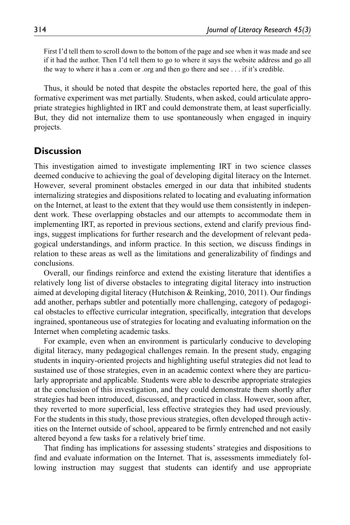First I'd tell them to scroll down to the bottom of the page and see when it was made and see if it had the author. Then I'd tell them to go to where it says the website address and go all the way to where it has a .com or .org and then go there and see . . . if it's credible.

Thus, it should be noted that despite the obstacles reported here, the goal of this formative experiment was met partially. Students, when asked, could articulate appropriate strategies highlighted in IRT and could demonstrate them, at least superficially. But, they did not internalize them to use spontaneously when engaged in inquiry projects.

#### **Discussion**

This investigation aimed to investigate implementing IRT in two science classes deemed conducive to achieving the goal of developing digital literacy on the Internet. However, several prominent obstacles emerged in our data that inhibited students internalizing strategies and dispositions related to locating and evaluating information on the Internet, at least to the extent that they would use them consistently in independent work. These overlapping obstacles and our attempts to accommodate them in implementing IRT, as reported in previous sections, extend and clarify previous findings, suggest implications for further research and the development of relevant pedagogical understandings, and inform practice. In this section, we discuss findings in relation to these areas as well as the limitations and generalizability of findings and conclusions.

Overall, our findings reinforce and extend the existing literature that identifies a relatively long list of diverse obstacles to integrating digital literacy into instruction aimed at developing digital literacy (Hutchison & Reinking, 2010, 2011). Our findings add another, perhaps subtler and potentially more challenging, category of pedagogical obstacles to effective curricular integration, specifically, integration that develops ingrained, spontaneous use of strategies for locating and evaluating information on the Internet when completing academic tasks.

For example, even when an environment is particularly conducive to developing digital literacy, many pedagogical challenges remain. In the present study, engaging students in inquiry-oriented projects and highlighting useful strategies did not lead to sustained use of those strategies, even in an academic context where they are particularly appropriate and applicable. Students were able to describe appropriate strategies at the conclusion of this investigation, and they could demonstrate them shortly after strategies had been introduced, discussed, and practiced in class. However, soon after, they reverted to more superficial, less effective strategies they had used previously. For the students in this study, those previous strategies, often developed through activities on the Internet outside of school, appeared to be firmly entrenched and not easily altered beyond a few tasks for a relatively brief time.

That finding has implications for assessing students' strategies and dispositions to find and evaluate information on the Internet. That is, assessments immediately following instruction may suggest that students can identify and use appropriate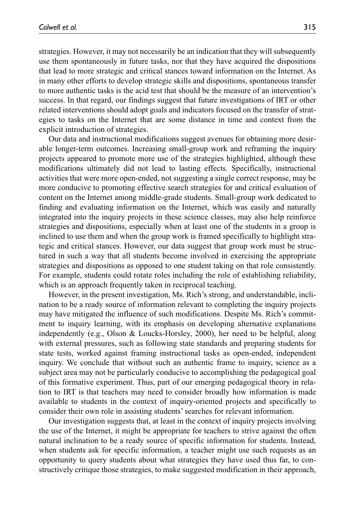strategies. However, it may not necessarily be an indication that they will subsequently use them spontaneously in future tasks, nor that they have acquired the dispositions that lead to more strategic and critical stances toward information on the Internet. As in many other efforts to develop strategic skills and dispositions, spontaneous transfer to more authentic tasks is the acid test that should be the measure of an intervention's success. In that regard, our findings suggest that future investigations of IRT or other related interventions should adopt goals and indicators focused on the transfer of strategies to tasks on the Internet that are some distance in time and context from the explicit introduction of strategies.

Our data and instructional modifications suggest avenues for obtaining more desirable longer-term outcomes. Increasing small-group work and reframing the inquiry projects appeared to promote more use of the strategies highlighted, although these modifications ultimately did not lead to lasting effects. Specifically, instructional activities that were more open-ended, not suggesting a single correct response, may be more conducive to promoting effective search strategies for and critical evaluation of content on the Internet among middle-grade students. Small-group work dedicated to finding and evaluating information on the Internet, which was easily and naturally integrated into the inquiry projects in these science classes, may also help reinforce strategies and dispositions, especially when at least one of the students in a group is inclined to use them and when the group work is framed specifically to highlight strategic and critical stances. However, our data suggest that group work must be structured in such a way that all students become involved in exercising the appropriate strategies and dispositions as opposed to one student taking on that role consistently. For example, students could rotate roles including the role of establishing reliability, which is an approach frequently taken in reciprocal teaching.

However, in the present investigation, Ms. Rich's strong, and understandable, inclination to be a ready source of information relevant to completing the inquiry projects may have mitigated the influence of such modifications. Despite Ms. Rich's commitment to inquiry learning, with its emphasis on developing alternative explanations independently (e.g., Olson & Loucks-Horsley, 2000), her need to be helpful, along with external pressures, such as following state standards and preparing students for state tests, worked against framing instructional tasks as open-ended, independent inquiry. We conclude that without such an authentic frame to inquiry, science as a subject area may not be particularly conducive to accomplishing the pedagogical goal of this formative experiment. Thus, part of our emerging pedagogical theory in relation to IRT is that teachers may need to consider broadly how information is made available to students in the context of inquiry-oriented projects and specifically to consider their own role in assisting students' searches for relevant information.

Our investigation suggests that, at least in the context of inquiry projects involving the use of the Internet, it might be appropriate for teachers to strive against the often natural inclination to be a ready source of specific information for students. Instead, when students ask for specific information, a teacher might use such requests as an opportunity to query students about what strategies they have used thus far, to constructively critique those strategies, to make suggested modification in their approach,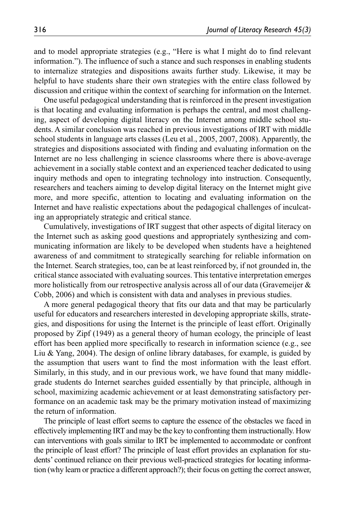and to model appropriate strategies (e.g., "Here is what I might do to find relevant information."). The influence of such a stance and such responses in enabling students to internalize strategies and dispositions awaits further study. Likewise, it may be helpful to have students share their own strategies with the entire class followed by discussion and critique within the context of searching for information on the Internet.

One useful pedagogical understanding that is reinforced in the present investigation is that locating and evaluating information is perhaps the central, and most challenging, aspect of developing digital literacy on the Internet among middle school students. A similar conclusion was reached in previous investigations of IRT with middle school students in language arts classes (Leu et al., 2005, 2007, 2008). Apparently, the strategies and dispositions associated with finding and evaluating information on the Internet are no less challenging in science classrooms where there is above-average achievement in a socially stable context and an experienced teacher dedicated to using inquiry methods and open to integrating technology into instruction. Consequently, researchers and teachers aiming to develop digital literacy on the Internet might give more, and more specific, attention to locating and evaluating information on the Internet and have realistic expectations about the pedagogical challenges of inculcating an appropriately strategic and critical stance.

Cumulatively, investigations of IRT suggest that other aspects of digital literacy on the Internet such as asking good questions and appropriately synthesizing and communicating information are likely to be developed when students have a heightened awareness of and commitment to strategically searching for reliable information on the Internet. Search strategies, too, can be at least reinforced by, if not grounded in, the critical stance associated with evaluating sources. This tentative interpretation emerges more holistically from our retrospective analysis across all of our data (Gravemeijer & Cobb, 2006) and which is consistent with data and analyses in previous studies.

A more general pedagogical theory that fits our data and that may be particularly useful for educators and researchers interested in developing appropriate skills, strategies, and dispositions for using the Internet is the principle of least effort. Originally proposed by Zipf (1949) as a general theory of human ecology, the principle of least effort has been applied more specifically to research in information science (e.g., see Liu & Yang, 2004). The design of online library databases, for example, is guided by the assumption that users want to find the most information with the least effort. Similarly, in this study, and in our previous work, we have found that many middlegrade students do Internet searches guided essentially by that principle, although in school, maximizing academic achievement or at least demonstrating satisfactory performance on an academic task may be the primary motivation instead of maximizing the return of information.

The principle of least effort seems to capture the essence of the obstacles we faced in effectively implementing IRT and may be the key to confronting them instructionally. How can interventions with goals similar to IRT be implemented to accommodate or confront the principle of least effort? The principle of least effort provides an explanation for students' continued reliance on their previous well-practiced strategies for locating information (why learn or practice a different approach?); their focus on getting the correct answer,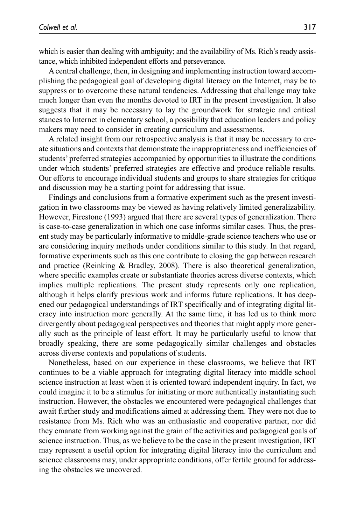which is easier than dealing with ambiguity; and the availability of Ms. Rich's ready assistance, which inhibited independent efforts and perseverance.

A central challenge, then, in designing and implementing instruction toward accomplishing the pedagogical goal of developing digital literacy on the Internet, may be to suppress or to overcome these natural tendencies. Addressing that challenge may take much longer than even the months devoted to IRT in the present investigation. It also suggests that it may be necessary to lay the groundwork for strategic and critical stances to Internet in elementary school, a possibility that education leaders and policy makers may need to consider in creating curriculum and assessments.

A related insight from our retrospective analysis is that it may be necessary to create situations and contexts that demonstrate the inappropriateness and inefficiencies of students' preferred strategies accompanied by opportunities to illustrate the conditions under which students' preferred strategies are effective and produce reliable results. Our efforts to encourage individual students and groups to share strategies for critique and discussion may be a starting point for addressing that issue.

Findings and conclusions from a formative experiment such as the present investigation in two classrooms may be viewed as having relatively limited generalizability. However, Firestone (1993) argued that there are several types of generalization. There is case-to-case generalization in which one case informs similar cases. Thus, the present study may be particularly informative to middle-grade science teachers who use or are considering inquiry methods under conditions similar to this study. In that regard, formative experiments such as this one contribute to closing the gap between research and practice (Reinking & Bradley, 2008). There is also theoretical generalization, where specific examples create or substantiate theories across diverse contexts, which implies multiple replications. The present study represents only one replication, although it helps clarify previous work and informs future replications. It has deepened our pedagogical understandings of IRT specifically and of integrating digital literacy into instruction more generally. At the same time, it has led us to think more divergently about pedagogical perspectives and theories that might apply more generally such as the principle of least effort. It may be particularly useful to know that broadly speaking, there are some pedagogically similar challenges and obstacles across diverse contexts and populations of students.

Nonetheless, based on our experience in these classrooms, we believe that IRT continues to be a viable approach for integrating digital literacy into middle school science instruction at least when it is oriented toward independent inquiry. In fact, we could imagine it to be a stimulus for initiating or more authentically instantiating such instruction. However, the obstacles we encountered were pedagogical challenges that await further study and modifications aimed at addressing them. They were not due to resistance from Ms. Rich who was an enthusiastic and cooperative partner, nor did they emanate from working against the grain of the activities and pedagogical goals of science instruction. Thus, as we believe to be the case in the present investigation, IRT may represent a useful option for integrating digital literacy into the curriculum and science classrooms may, under appropriate conditions, offer fertile ground for addressing the obstacles we uncovered.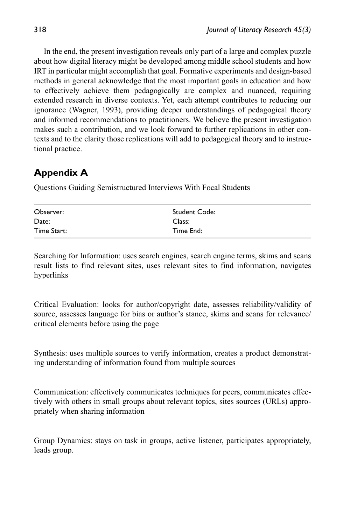In the end, the present investigation reveals only part of a large and complex puzzle about how digital literacy might be developed among middle school students and how IRT in particular might accomplish that goal. Formative experiments and design-based methods in general acknowledge that the most important goals in education and how to effectively achieve them pedagogically are complex and nuanced, requiring extended research in diverse contexts. Yet, each attempt contributes to reducing our ignorance (Wagner, 1993), providing deeper understandings of pedagogical theory and informed recommendations to practitioners. We believe the present investigation makes such a contribution, and we look forward to further replications in other contexts and to the clarity those replications will add to pedagogical theory and to instructional practice.

## **Appendix A**

Questions Guiding Semistructured Interviews With Focal Students

| Observer:   | Student Code: |
|-------------|---------------|
| Date:       | Class:        |
| Time Start: | Time End:     |

Searching for Information: uses search engines, search engine terms, skims and scans result lists to find relevant sites, uses relevant sites to find information, navigates hyperlinks

Critical Evaluation: looks for author/copyright date, assesses reliability/validity of source, assesses language for bias or author's stance, skims and scans for relevance/ critical elements before using the page

Synthesis: uses multiple sources to verify information, creates a product demonstrating understanding of information found from multiple sources

Communication: effectively communicates techniques for peers, communicates effectively with others in small groups about relevant topics, sites sources (URLs) appropriately when sharing information

Group Dynamics: stays on task in groups, active listener, participates appropriately, leads group.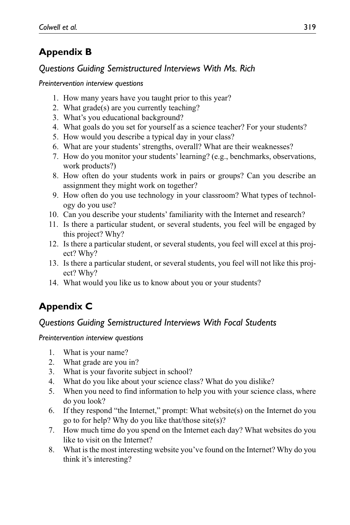# **Appendix B**

## *Questions Guiding Semistructured Interviews With Ms. Rich*

#### *Preintervention interview questions*

- 1. How many years have you taught prior to this year?
- 2. What grade(s) are you currently teaching?
- 3. What's you educational background?
- 4. What goals do you set for yourself as a science teacher? For your students?
- 5. How would you describe a typical day in your class?
- 6. What are your students' strengths, overall? What are their weaknesses?
- 7. How do you monitor your students' learning? (e.g., benchmarks, observations, work products?)
- 8. How often do your students work in pairs or groups? Can you describe an assignment they might work on together?
- 9. How often do you use technology in your classroom? What types of technology do you use?
- 10. Can you describe your students' familiarity with the Internet and research?
- 11. Is there a particular student, or several students, you feel will be engaged by this project? Why?
- 12. Is there a particular student, or several students, you feel will excel at this project? Why?
- 13. Is there a particular student, or several students, you feel will not like this project? Why?
- 14. What would you like us to know about you or your students?

# **Appendix C**

## *Questions Guiding Semistructured Interviews With Focal Students*

*Preintervention interview questions*

- 1. What is your name?
- 2. What grade are you in?
- 3. What is your favorite subject in school?
- 4. What do you like about your science class? What do you dislike?
- 5. When you need to find information to help you with your science class, where do you look?
- 6. If they respond "the Internet," prompt: What website(s) on the Internet do you go to for help? Why do you like that/those site(s)?
- 7. How much time do you spend on the Internet each day? What websites do you like to visit on the Internet?
- 8. What is the most interesting website you've found on the Internet? Why do you think it's interesting?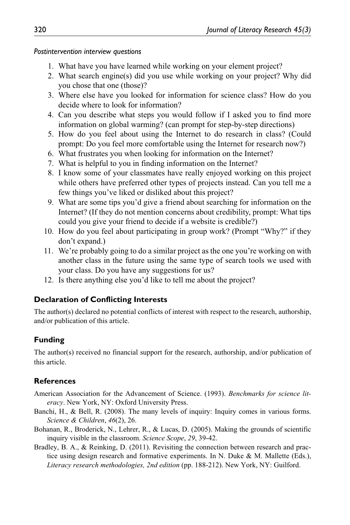#### *Postintervention interview questions*

- 1. What have you have learned while working on your element project?
- 2. What search engine(s) did you use while working on your project? Why did you chose that one (those)?
- 3. Where else have you looked for information for science class? How do you decide where to look for information?
- 4. Can you describe what steps you would follow if I asked you to find more information on global warming? (can prompt for step-by-step directions)
- 5. How do you feel about using the Internet to do research in class? (Could prompt: Do you feel more comfortable using the Internet for research now?)
- 6. What frustrates you when looking for information on the Internet?
- 7. What is helpful to you in finding information on the Internet?
- 8. I know some of your classmates have really enjoyed working on this project while others have preferred other types of projects instead. Can you tell me a few things you've liked or disliked about this project?
- 9. What are some tips you'd give a friend about searching for information on the Internet? (If they do not mention concerns about credibility, prompt: What tips could you give your friend to decide if a website is credible?)
- 10. How do you feel about participating in group work? (Prompt "Why?" if they don't expand.)
- 11. We're probably going to do a similar project as the one you're working on with another class in the future using the same type of search tools we used with your class. Do you have any suggestions for us?
- 12. Is there anything else you'd like to tell me about the project?

#### **Declaration of Conflicting Interests**

The author(s) declared no potential conflicts of interest with respect to the research, authorship, and/or publication of this article.

#### **Funding**

The author(s) received no financial support for the research, authorship, and/or publication of this article.

#### **References**

- American Association for the Advancement of Science. (1993). *Benchmarks for science literacy*. New York, NY: Oxford University Press.
- Banchi, H., & Bell, R. (2008). The many levels of inquiry: Inquiry comes in various forms. *Science & Children*, *46*(2), 26.
- Bohanan, R., Broderick, N., Lehrer, R., & Lucas, D. (2005). Making the grounds of scientific inquiry visible in the classroom. *Science Scope*, *29*, 39-42.
- Bradley, B. A., & Reinking, D. (2011). Revisiting the connection between research and practice using design research and formative experiments. In N. Duke & M. Mallette (Eds.), *Literacy research methodologies, 2nd edition* (pp. 188-212). New York, NY: Guilford.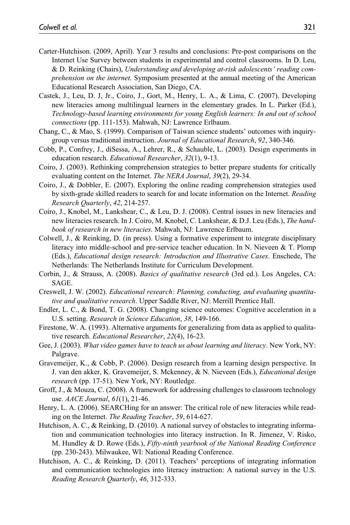- Carter-Hutchison. (2009, April). Year 3 results and conclusions: Pre-post comparisons on the Internet Use Survey between students in experimental and control classrooms. In D. Leu, & D. Reinking (Chairs), *Understanding and developing at-risk adolescents' reading comprehension on the internet*. Symposium presented at the annual meeting of the American Educational Research Association, San Diego, CA.
- Castek, J., Leu, D. J, Jr., Coiro, J., Gort, M., Henry, L. A., & Lima, C. (2007). Developing new literacies among multilingual learners in the elementary grades. In L. Parker (Ed.), *Technology-based learning environments for young English learners: In and out of school connections* (pp. 111-153). Mahwah, NJ: Lawrence Erlbaum.
- Chang, C., & Mao, S. (1999). Comparison of Taiwan science students' outcomes with inquirygroup versus traditional instruction. *Journal of Educational Research*, *92*, 340-346.
- Cobb, P., Confrey, J., diSessa, A., Lehrer, R., & Schauble, L. (2003). Design experiments in education research. *Educational Researcher*, *32*(1), 9-13.
- Coiro, J. (2003). Rethinking comprehension strategies to better prepare students for critically evaluating content on the Internet. *The NERA Journal*, *39*(2), 29-34.
- Coiro, J., & Dobbler, E. (2007). Exploring the online reading comprehension strategies used by sixth-grade skilled readers to search for and locate information on the Internet. *Reading Research Quarterly*, *42*, 214-257.
- Coiro, J., Knobel, M., Lankshear, C., & Leu, D. J. (2008). Central issues in new literacies and new literacies research. In J. Coiro, M. Knobel, C. Lankshear, & D.J. Leu (Eds.), *The handbook of research in new literacies*. Mahwah, NJ: Lawrence Erlbaum.
- Colwell, J., & Reinking, D. (in press). Using a formative experiment to integrate disciplinary literacy into middle-school and pre-service teacher education. In N. Nieveen & T. Plomp (Eds.), *Educational design research: Introduction and Illustrative Cases*. Enschede, The Netherlands: The Netherlands Institute for Curriculum Development.
- Corbin, J., & Strauss, A. (2008). *Basics of qualitative research* (3rd ed.). Los Angeles, CA: SAGE.
- Creswell, J. W. (2002). *Educational research: Planning, conducting, and evaluating quantitative and qualitative research*. Upper Saddle River, NJ: Merrill Prentice Hall.
- Endler, L. C., & Bond, T. G. (2008). Changing science outcomes: Cognitive acceleration in a U.S. setting. *Research in Science Education*, *38*, 149-166.
- Firestone, W. A. (1993). Alternative arguments for generalizing from data as applied to qualitative research. *Educational Researcher*, *22*(4), 16-23.
- Gee, J. (2003). *What video games have to teach us about learning and literacy*. New York, NY: Palgrave.
- Gravemeijer, K., & Cobb, P. (2006). Design research from a learning design perspective. In J. van den akker, K. Gravemeijer, S. Mckenney, & N. Nieveen (Eds.), *Educational design research* (pp. 17-51). New York, NY: Routledge.
- Groff, J., & Mouza, C. (2008). A framework for addressing challenges to classroom technology use. *AACE Journal*, *61*(1), 21-46.
- Henry, L. A. (2006). SEARCHing for an answer: The critical role of new literacies while reading on the Internet. *The Reading Teacher*, *59*, 614-627.
- Hutchison, A. C., & Reinking, D. (2010). A national survey of obstacles to integrating information and communication technologies into literacy instruction. In R. Jimenez, V. Risko, M. Hundley & D. Rowe (Eds.), *Fifty-ninth yearbook of the National Reading Conference* (pp. 230-243). Milwaukee, WI: National Reading Conference.
- Hutchison, A. C., & Reinking, D. (2011). Teachers' perceptions of integrating information and communication technologies into literacy instruction: A national survey in the U.S. *Reading Research Quarterly*, *46*, 312-333.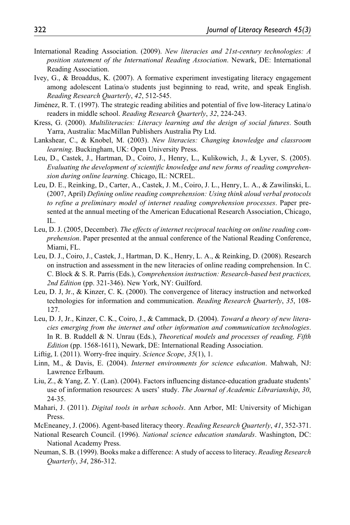- International Reading Association. (2009). *New literacies and 21st-century technologies: A position statement of the International Reading Association*. Newark, DE: International Reading Association.
- Ivey, G., & Broaddus, K. (2007). A formative experiment investigating literacy engagement among adolescent Latina/o students just beginning to read, write, and speak English. *Reading Research Quarterly*, *42*, 512-545.
- Jiménez, R. T. (1997). The strategic reading abilities and potential of five low-literacy Latina/o readers in middle school. *Reading Research Quarterly*, *32*, 224-243.
- Kress, G. (2000). *Multiliteracies: Literacy learning and the design of social futures*. South Yarra, Australia: MacMillan Publishers Australia Pty Ltd.
- Lankshear, C., & Knobel, M. (2003). *New literacies: Changing knowledge and classroom learning*. Buckingham, UK: Open University Press.
- Leu, D., Castek, J., Hartman, D., Coiro, J., Henry, L., Kulikowich, J., & Lyver, S. (2005). *Evaluating the development of scientific knowledge and new forms of reading comprehension during online learning*. Chicago, IL: NCREL.
- Leu, D. E., Reinking, D., Carter, A., Castek, J. M., Coiro, J. L., Henry, L. A., & Zawilinski, L. (2007, April) *Defining online reading comprehension: Using think aloud verbal protocols to refine a preliminary model of internet reading comprehension processes*. Paper presented at the annual meeting of the American Educational Research Association, Chicago, IL.
- Leu, D. J. (2005, December). *The effects of internet reciprocal teaching on online reading comprehension*. Paper presented at the annual conference of the National Reading Conference, Miami, FL.
- Leu, D. J., Coiro, J., Castek, J., Hartman, D. K., Henry, L. A., & Reinking, D. (2008). Research on instruction and assessment in the new literacies of online reading comprehension. In C. C. Block & S. R. Parris (Eds.), *Comprehension instruction: Research-based best practices, 2nd Edition* (pp. 321-346). New York, NY: Guilford.
- Leu, D. J, Jr., & Kinzer, C. K. (2000). The convergence of literacy instruction and networked technologies for information and communication. *Reading Research Quarterly*, *35*, 108- 127.
- Leu, D. J, Jr., Kinzer, C. K., Coiro, J., & Cammack, D. (2004). *Toward a theory of new literacies emerging from the internet and other information and communication technologies*. In R. B. Ruddell & N. Unrau (Eds.), *Theoretical models and processes of reading, Fifth Edition* (pp. 1568-1611), Newark, DE: International Reading Association.
- Liftig, I. (2011). Worry-free inquiry. *Science Scope*, *35*(1), 1.
- Linn, M., & Davis, E. (2004). *Internet environments for science education*. Mahwah, NJ: Lawrence Erlbaum.
- Liu, Z., & Yang, Z. Y. (Lan). (2004). Factors influencing distance-education graduate students' use of information resources: A users' study. *The Journal of Academic Librarianship*, *30*, 24-35.
- Mahari, J. (2011). *Digital tools in urban schools*. Ann Arbor, MI: University of Michigan Press.
- McEneaney, J. (2006). Agent-based literacy theory. *Reading Research Quarterly*, *41*, 352-371.
- National Research Council. (1996). *National science education standards*. Washington, DC: National Academy Press.
- Neuman, S. B. (1999). Books make a difference: A study of access to literacy. *Reading Research Quarterly*, *34*, 286-312.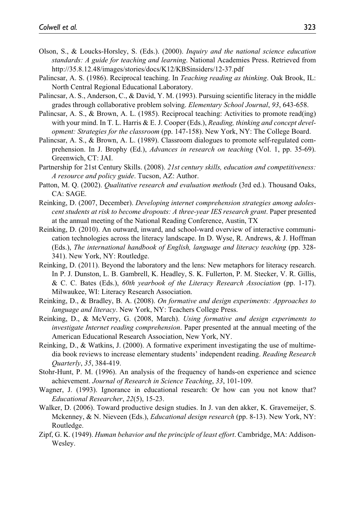- Olson, S., & Loucks-Horsley, S. (Eds.). (2000). *Inquiry and the national science education standards: A guide for teaching and learning*. National Academies Press. Retrieved from http://35.8.12.48/images/stories/docs/K12/KBSinsiders/12-37.pdf
- Palincsar, A. S. (1986). Reciprocal teaching. In *Teaching reading as thinking*. Oak Brook, IL: North Central Regional Educational Laboratory.
- Palincsar, A. S., Anderson, C., & David, Y. M. (1993). Pursuing scientific literacy in the middle grades through collaborative problem solving. *Elementary School Journal*, *93*, 643-658.
- Palincsar, A. S., & Brown, A. L. (1985). Reciprocal teaching: Activities to promote read(ing) with your mind. In T. L. Harris & E. J. Cooper (Eds.), *Reading, thinking and concept development: Strategies for the classroom* (pp. 147-158). New York, NY: The College Board.
- Palincsar, A. S., & Brown, A. L. (1989). Classroom dialogues to promote self-regulated comprehension. In J. Brophy (Ed.), *Advances in research on teaching* (Vol. 1, pp. 35-69). Greenwich, CT: JAI.
- Partnership for 21st Century Skills. (2008). *21st century skills, education and competitiveness: A resource and policy guide*. Tucson, AZ: Author.
- Patton, M. Q. (2002). *Qualitative research and evaluation methods* (3rd ed.). Thousand Oaks, CA: SAGE.
- Reinking, D. (2007, December). *Developing internet comprehension strategies among adolescent students at risk to become dropouts: A three-year IES research grant*. Paper presented at the annual meeting of the National Reading Conference, Austin, TX
- Reinking, D. (2010). An outward, inward, and school-ward overview of interactive communication technologies across the literacy landscape. In D. Wyse, R. Andrews, & J. Hoffman (Eds.), *The international handbook of English, language and literacy teaching* (pp. 328- 341). New York, NY: Routledge.
- Reinking, D. (2011). Beyond the laboratory and the lens: New metaphors for literacy research. In P. J. Dunston, L. B. Gambrell, K. Headley, S. K. Fullerton, P. M. Stecker, V. R. Gillis, & C. C. Bates (Eds.), *60th yearbook of the Literacy Research Association* (pp. 1-17). Milwaukee, WI: Literacy Research Association.
- Reinking, D., & Bradley, B. A. (2008). *On formative and design experiments: Approaches to language and literacy*. New York, NY: Teachers College Press.
- Reinking, D., & McVerry, G. (2008, March). *Using formative and design experiments to investigate Internet reading comprehension*. Paper presented at the annual meeting of the American Educational Research Association, New York, NY.
- Reinking, D., & Watkins, J. (2000). A formative experiment investigating the use of multimedia book reviews to increase elementary students' independent reading. *Reading Research Quarterly*, *35*, 384-419.
- Stohr-Hunt, P. M. (1996). An analysis of the frequency of hands-on experience and science achievement. *Journal of Research in Science Teaching*, *33*, 101-109.
- Wagner, J. (1993). Ignorance in educational research: Or how can you not know that? *Educational Researcher*, *22*(5), 15-23.
- Walker, D. (2006). Toward productive design studies. In J. van den akker, K. Gravemeijer, S. Mckenney, & N. Nieveen (Eds.), *Educational design research* (pp. 8-13). New York, NY: Routledge.
- Zipf, G. K. (1949). *Human behavior and the principle of least effort*. Cambridge, MA: Addison-Wesley.